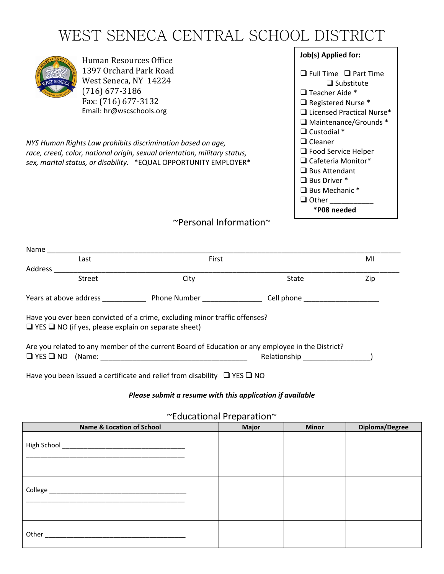# WEST SENECA CENTRAL SCHOOL DISTRICT



Human Resources Office 1397 Orchard Park Road West Seneca, NY 14224 (716) 677-3186 Fax: (716) 677-3132 Email: hr@wscschools.org

*NYS Human Rights Law prohibits discrimination based on age, race, creed, color, national origin, sexual orientation, military status, sex, marital status, or disability.* \*EQUAL OPPORTUNITY EMPLOYER\* **Job(s) Applied for:** ❑ Full Time ❑ Part Time ❑ Substitute ❑ Teacher Aide \* ❑ Registered Nurse \* ❑ Licensed Practical Nurse\* ❑ Maintenance/Grounds \* ❑ Custodial \* ❑ Cleaner ❑ Food Service Helper ❑ Cafeteria Monitor\* ❑ Bus Attendant ❑ Bus Driver \* ❑ Bus Mechanic \* ❑ Other \_\_\_\_\_\_\_\_\_\_\_ **\*P08 needed**

## ~Personal Information~

| Name    |                                          |                                                                                                                                               |                                                                                                                                                                                                                                |     |
|---------|------------------------------------------|-----------------------------------------------------------------------------------------------------------------------------------------------|--------------------------------------------------------------------------------------------------------------------------------------------------------------------------------------------------------------------------------|-----|
|         | Last                                     | First                                                                                                                                         |                                                                                                                                                                                                                                | MI  |
| Address |                                          |                                                                                                                                               |                                                                                                                                                                                                                                |     |
|         | Street                                   | City                                                                                                                                          | State                                                                                                                                                                                                                          | Zip |
|         | Years at above address Years at a strong | <b>Phone Number Example 20</b>                                                                                                                | Cell phone the control of the control of the control of the control of the control of the control of the control of the control of the control of the control of the control of the control of the control of the control of t |     |
|         |                                          | Have you ever been convicted of a crime, excluding minor traffic offenses?<br>$\Box$ YES $\Box$ NO (if yes, please explain on separate sheet) |                                                                                                                                                                                                                                |     |
|         |                                          |                                                                                                                                               | Are you related to any member of the current Board of Education or any employee in the District?                                                                                                                               |     |
|         |                                          |                                                                                                                                               | Relationship                                                                                                                                                                                                                   |     |

Have you been issued a certificate and relief from disability ❑ YES ❑ NO

#### *Please submit a resume with this application if available*

~Educational Preparation~

| <b>Name &amp; Location of School</b> | <b>Major</b> | <b>Minor</b> | Diploma/Degree |
|--------------------------------------|--------------|--------------|----------------|
|                                      |              |              |                |
|                                      |              |              |                |
|                                      |              |              |                |
|                                      |              |              |                |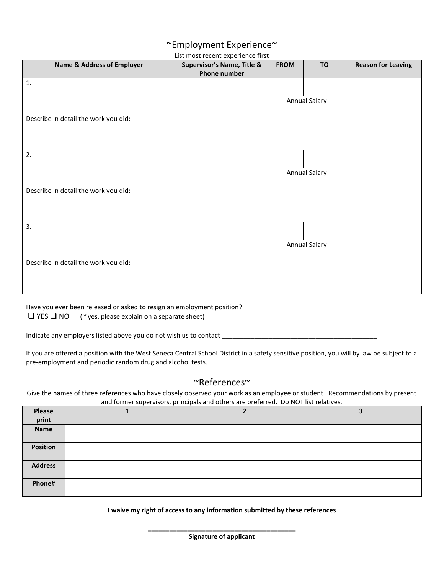## ~Employment Experience~

List most recent experience first

| <b>Name &amp; Address of Employer</b> | LIST HINST LECETIC EXPERIENCE HIST<br>Supervisor's Name, Title & | <b>FROM</b> | <b>TO</b>            | <b>Reason for Leaving</b> |
|---------------------------------------|------------------------------------------------------------------|-------------|----------------------|---------------------------|
|                                       | <b>Phone number</b>                                              |             |                      |                           |
| 1.                                    |                                                                  |             |                      |                           |
|                                       |                                                                  |             | <b>Annual Salary</b> |                           |
| Describe in detail the work you did:  |                                                                  |             |                      |                           |
|                                       |                                                                  |             |                      |                           |
|                                       |                                                                  |             |                      |                           |
| 2.                                    |                                                                  |             |                      |                           |
|                                       |                                                                  |             | <b>Annual Salary</b> |                           |
| Describe in detail the work you did:  |                                                                  |             |                      |                           |
|                                       |                                                                  |             |                      |                           |
|                                       |                                                                  |             |                      |                           |
| 3.                                    |                                                                  |             |                      |                           |
|                                       |                                                                  |             | Annual Salary        |                           |
| Describe in detail the work you did:  |                                                                  |             |                      |                           |
|                                       |                                                                  |             |                      |                           |
|                                       |                                                                  |             |                      |                           |
|                                       |                                                                  |             |                      |                           |

Have you ever been released or asked to resign an employment position?  $\Box$  YES  $\Box$  NO (if yes, please explain on a separate sheet)

Indicate any employers listed above you do not wish us to contact \_\_\_\_\_\_\_\_\_\_\_\_\_\_\_\_\_\_\_\_\_\_\_\_\_\_\_\_\_\_\_\_\_\_\_\_\_\_\_\_\_\_\_

If you are offered a position with the West Seneca Central School District in a safety sensitive position, you will by law be subject to a pre-employment and periodic random drug and alcohol tests.

#### ~References~

Give the names of three references who have closely observed your work as an employee or student. Recommendations by present and former supervisors, principals and others are preferred. Do NOT list relatives.

| Please<br>print | $\sim$ |  |
|-----------------|--------|--|
| Name            |        |  |
| <b>Position</b> |        |  |
| <b>Address</b>  |        |  |
| Phone#          |        |  |

**I waive my right of access to any information submitted by these references**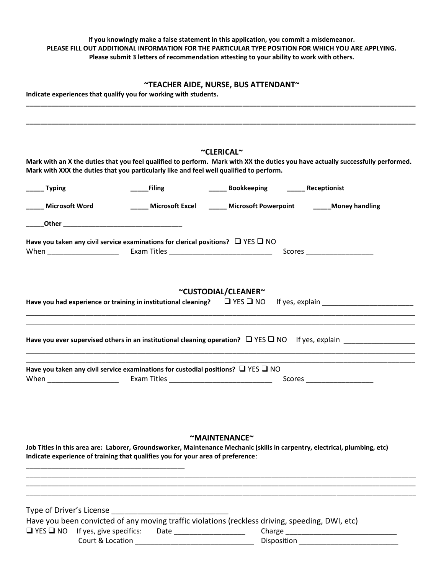#### **If you knowingly make a false statement in this application, you commit a misdemeanor. PLEASE FILL OUT ADDITIONAL INFORMATION FOR THE PARTICULAR TYPE POSITION FOR WHICH YOU ARE APPLYING. Please submit 3 letters of recommendation attesting to your ability to work with others.**

#### **~TEACHER AIDE, NURSE, BUS ATTENDANT~**

**\_\_\_\_\_\_\_\_\_\_\_\_\_\_\_\_\_\_\_\_\_\_\_\_\_\_\_\_\_\_\_\_\_\_\_\_\_\_\_\_\_\_\_\_\_\_\_\_\_\_\_\_\_\_\_\_\_\_\_\_\_\_\_\_\_\_\_\_\_\_\_\_\_\_\_\_\_\_\_\_\_\_\_\_\_\_\_\_\_\_\_\_\_\_\_\_\_\_\_\_\_\_\_\_\_\_\_\_**

**Indicate experiences that qualify you for working with students.** 

|                  |                                                                                                   | ~CLERICAL~                                                                                                                 |                                                                                                                                 |
|------------------|---------------------------------------------------------------------------------------------------|----------------------------------------------------------------------------------------------------------------------------|---------------------------------------------------------------------------------------------------------------------------------|
|                  | Mark with XXX the duties that you particularly like and feel well qualified to perform.           |                                                                                                                            | Mark with an X the duties that you feel qualified to perform. Mark with XX the duties you have actually successfully performed. |
| ______ Typing    | <b>Filing</b>                                                                                     | ______ Bookkeeping ______ Receptionist                                                                                     |                                                                                                                                 |
| Microsoft Word   | Microsoft Excel                                                                                   | Microsoft Powerpoint Money handling                                                                                        |                                                                                                                                 |
|                  |                                                                                                   |                                                                                                                            |                                                                                                                                 |
| When <b>When</b> | Have you taken any civil service examinations for clerical positions? $\Box$ YES $\Box$ NO        |                                                                                                                            | Scores _______________________                                                                                                  |
|                  |                                                                                                   |                                                                                                                            |                                                                                                                                 |
|                  |                                                                                                   | ~CUSTODIAL/CLEANER~                                                                                                        |                                                                                                                                 |
|                  | Have you had experience or training in institutional cleaning? $\square$ YES $\square$ NO         |                                                                                                                            |                                                                                                                                 |
|                  |                                                                                                   |                                                                                                                            |                                                                                                                                 |
|                  |                                                                                                   |                                                                                                                            | Have you ever supervised others in an institutional cleaning operation? $\Box$ YES $\Box$ NO If yes, explain                    |
|                  | Have you taken any civil service examinations for custodial positions? $\square$ YES $\square$ NO |                                                                                                                            |                                                                                                                                 |
|                  |                                                                                                   |                                                                                                                            |                                                                                                                                 |
|                  |                                                                                                   |                                                                                                                            |                                                                                                                                 |
|                  |                                                                                                   |                                                                                                                            |                                                                                                                                 |
|                  |                                                                                                   | ~MAINTENANCE~                                                                                                              |                                                                                                                                 |
|                  | Indicate experience of training that qualifies you for your area of preference:                   | Job Titles in this area are: Laborer, Groundsworker, Maintenance Mechanic (skills in carpentry, electrical, plumbing, etc) |                                                                                                                                 |
|                  |                                                                                                   |                                                                                                                            |                                                                                                                                 |
|                  |                                                                                                   |                                                                                                                            |                                                                                                                                 |
|                  |                                                                                                   |                                                                                                                            |                                                                                                                                 |
|                  | T YES T NO If yes, give specifics: Date ____________________                                      | Have you been convicted of any moving traffic violations (reckless driving, speeding, DWI, etc)                            |                                                                                                                                 |
|                  |                                                                                                   |                                                                                                                            | Disposition ______________________________                                                                                      |